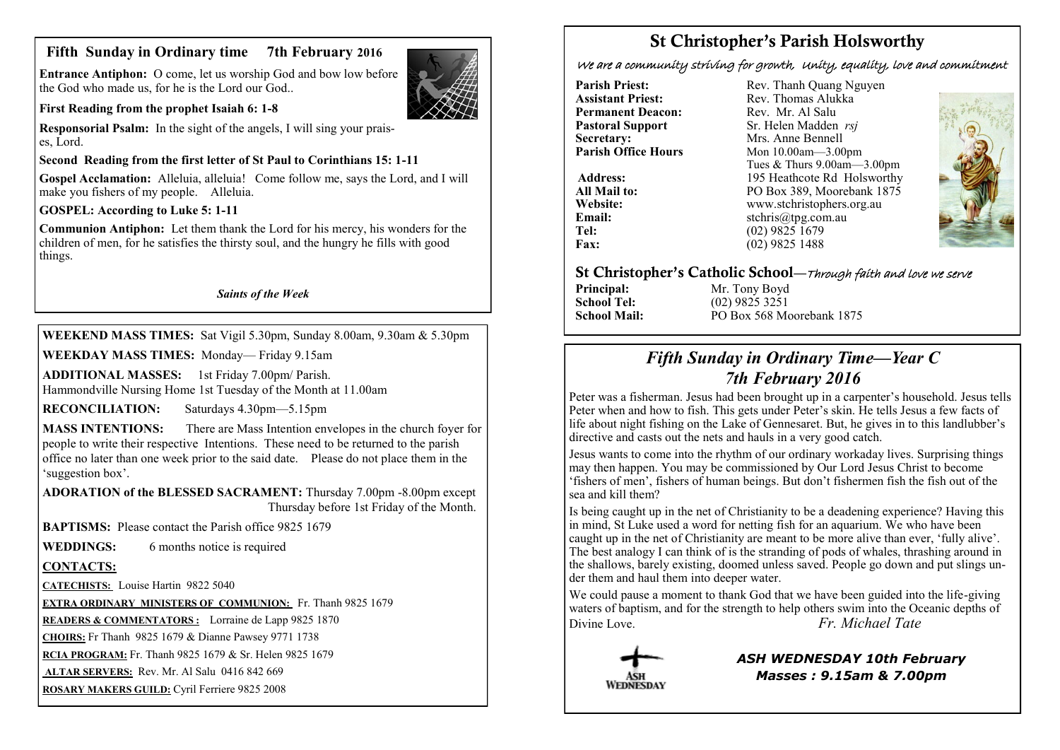## **Fifth Sunday in Ordinary time 7th February 2016**

**Entrance Antiphon:** O come, let us worship God and bow low before the God who made us, for he is the Lord our God..



**First Reading from the prophet Isaiah 6: 1-8**

**Responsorial Psalm:** In the sight of the angels, I will sing your praises, Lord.

### **Second Reading from the first letter of St Paul to Corinthians 15: 1-11**

**Gospel Acclamation:** Alleluia, alleluia! Come follow me, says the Lord, and I will make you fishers of my people. Alleluia.

**GOSPEL: According to Luke 5: 1-11**

**Communion Antiphon:** Let them thank the Lord for his mercy, his wonders for the children of men, for he satisfies the thirsty soul, and the hungry he fills with good things.

### *Saints of the Week*

**WEEKEND MASS TIMES:** Sat Vigil 5.30pm, Sunday 8.00am, 9.30am & 5.30pm

**WEEKDAY MASS TIMES:** Monday— Friday 9.15am

**ADDITIONAL MASSES:** 1st Friday 7.00pm/ Parish. Hammondville Nursing Home 1st Tuesday of the Month at 11.00am

**RECONCILIATION:** Saturdays 4.30pm—5.15pm

**MASS INTENTIONS:** There are Mass Intention envelopes in the church foyer for people to write their respective Intentions. These need to be returned to the parish office no later than one week prior to the said date. Please do not place them in the 'suggestion box'.

**ADORATION of the BLESSED SACRAMENT:** Thursday 7.00pm -8.00pm except Thursday before 1st Friday of the Month.

**BAPTISMS:** Please contact the Parish office 9825 1679

**WEDDINGS:** 6 months notice is required

### **CONTACTS:**

**CATECHISTS:** Louise Hartin 9822 5040

**EXTRA ORDINARY MINISTERS OF COMMUNION:** Fr. Thanh 9825 1679

**READERS & COMMENTATORS :** Lorraine de Lapp 9825 1870

**CHOIRS:** Fr Thanh 9825 1679 & Dianne Pawsey 9771 1738

**RCIA PROGRAM:** Fr. Thanh 9825 1679 & Sr. Helen 9825 1679

**ALTAR SERVERS:** Rev. Mr. Al Salu 0416 842 669

**ROSARY MAKERS GUILD:** Cyril Ferriere 9825 2008

# **St Christopher's Parish Holsworthy**

We are a community striving for growth, Unity, equality, love and commitment

**Permanent Deacon:**<br>**Pastoral Support Secretary:** Mrs. Anne Bennell<br> **Parish Office Hours** Mon 10.00am - 3.00

**Parish Priest:** Rev. Thanh Quang Nguyen<br> **Assistant Priest:** Rev. Thomas Alukka Rev. Thomas Alukka<br>Rev. Mr. Al Salu **Pastoral Support** Sr. Helen Madden *rsj*<br>
Secretary: Mrs. Anne Bennell **Mon 10.00am—3.00pm** Tues & Thurs 9.00am—3.00pm Address: 195 Heathcote Rd Holsworthy **All Mail to:** PO Box 389, Moorebank 1875 **Website:** www.stchristophers.org.au<br> **Email:** stchris@tng.com au **Email:** stchris@tpg.com.au<br> **Tel:** (02) 9825 1679 **Tel:** (02) 9825 1679<br>**Fax:** (02) 9825 1488 **Fax:** (02) 9825 1488



## **St Christopher's Catholic School—**Through faith and love we serve

**Principal:** Mr. Tony Boyd<br> **School Tel:** (02) 9825 3251

**School Tel:** (02) 9825 3251 **School Mail:** PO Box 568 Moorebank 1875

# *Fifth Sunday in Ordinary Time—Year C 7th February 2016*

Peter was a fisherman. Jesus had been brought up in a carpenter's household. Jesus tells Peter when and how to fish. This gets under Peter's skin. He tells Jesus a few facts of life about night fishing on the Lake of Gennesaret. But, he gives in to this landlubber's directive and casts out the nets and hauls in a very good catch.

Jesus wants to come into the rhythm of our ordinary workaday lives. Surprising things may then happen. You may be commissioned by Our Lord Jesus Christ to become 'fishers of men', fishers of human beings. But don't fishermen fish the fish out of the sea and kill them?

Is being caught up in the net of Christianity to be a deadening experience? Having this in mind, St Luke used a word for netting fish for an aquarium. We who have been caught up in the net of Christianity are meant to be more alive than ever, 'fully alive'. The best analogy I can think of is the stranding of pods of whales, thrashing around in the shallows, barely existing, doomed unless saved. People go down and put slings under them and haul them into deeper water.

We could pause a moment to thank God that we have been guided into the life-giving waters of baptism, and for the strength to help others swim into the Oceanic depths of Divine Love. *Fr. Michael Tate* 



*ASH WEDNESDAY 10th February Masses : 9.15am & 7.00pm*